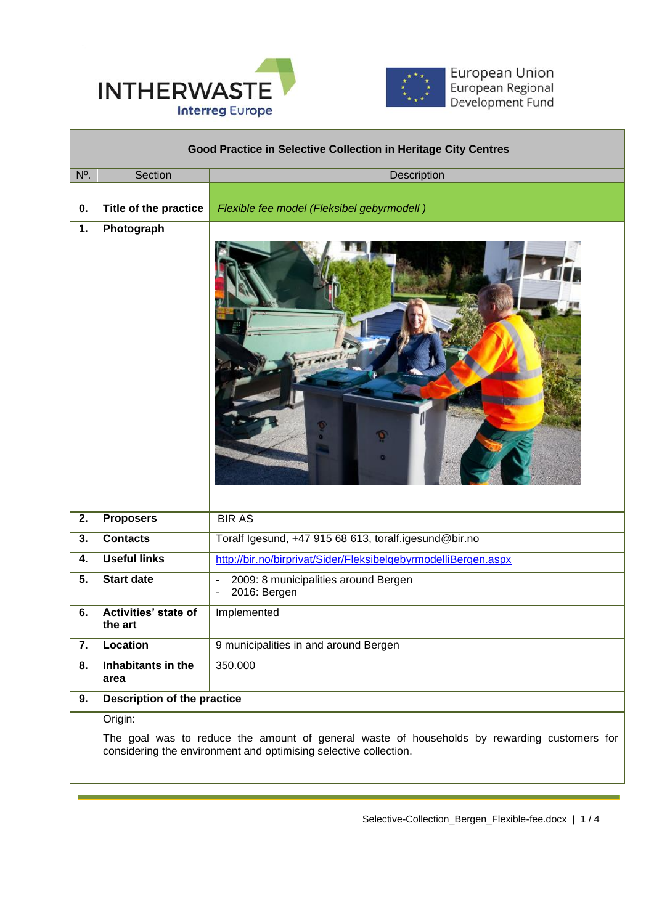

Л



European Union<br>European Regional<br>Development Fund

| Good Practice in Selective Collection in Heritage City Centres |                                                                                                                                                                 |                                                                |
|----------------------------------------------------------------|-----------------------------------------------------------------------------------------------------------------------------------------------------------------|----------------------------------------------------------------|
| N <sup>o</sup> .                                               | Section                                                                                                                                                         | Description                                                    |
| 0.                                                             | Title of the practice                                                                                                                                           | Flexible fee model (Fleksibel gebyrmodell)                     |
| 1.                                                             | Photograph                                                                                                                                                      | (100)<br>ত<br>۰                                                |
| 2.                                                             | <b>Proposers</b>                                                                                                                                                | <b>BIR AS</b>                                                  |
| 3.                                                             | <b>Contacts</b>                                                                                                                                                 | Toralf Igesund, +47 915 68 613, toralf.igesund@bir.no          |
| 4.                                                             | <b>Useful links</b>                                                                                                                                             | http://bir.no/birprivat/Sider/FleksibelgebyrmodelliBergen.aspx |
| 5.                                                             | <b>Start date</b>                                                                                                                                               | 2009: 8 municipalities around Bergen<br>2016: Bergen           |
| 6.                                                             | Activities' state of<br>the art                                                                                                                                 | Implemented                                                    |
| 7.                                                             | Location                                                                                                                                                        | 9 municipalities in and around Bergen                          |
| 8.                                                             | Inhabitants in the<br>area                                                                                                                                      | 350.000                                                        |
| 9.                                                             | <b>Description of the practice</b>                                                                                                                              |                                                                |
|                                                                | Origin:                                                                                                                                                         |                                                                |
|                                                                | The goal was to reduce the amount of general waste of households by rewarding customers for<br>considering the environment and optimising selective collection. |                                                                |

 $\overline{a}$ 

Selective-Collection\_Bergen\_Flexible-fee.docx | 1 / 4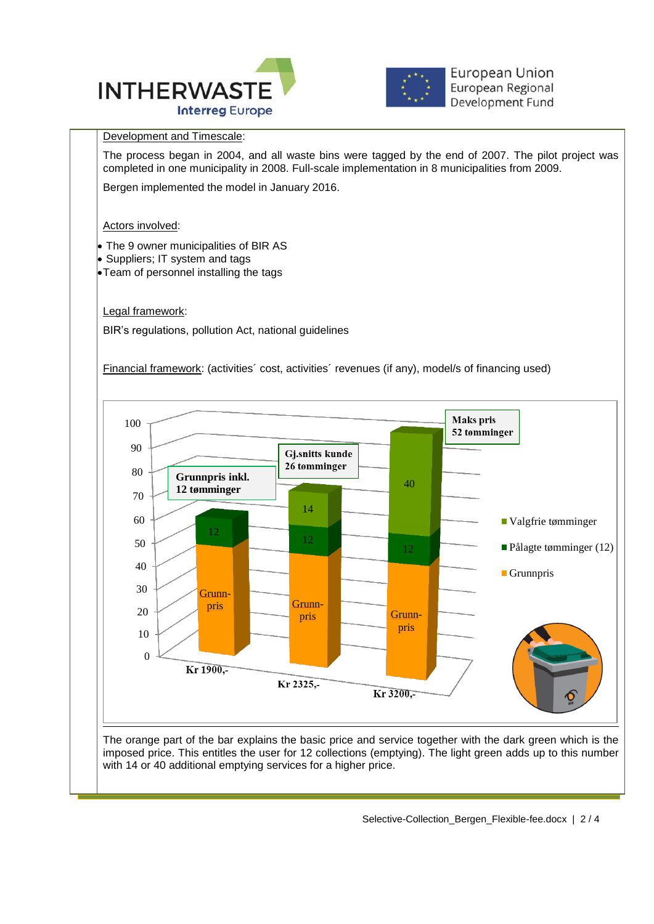



**European Union** European Regional Development Fund

## Development and Timescale:

The process began in 2004, and all waste bins were tagged by the end of 2007. The pilot project was completed in one municipality in 2008. Full-scale implementation in 8 municipalities from 2009.

 $\overline{a}$ 

Bergen implemented the model in January 2016.

Actors involved:

- The 9 owner municipalities of BIR AS
- Suppliers; IT system and tags
- **Team of personnel installing the tags**

Legal framework:

BIR's regulations, pollution Act, national guidelines

Financial framework: (activities´ cost, activities´ revenues (if any), model/s of financing used)



The orange part of the bar explains the basic price and service together with the dark green which is the imposed price. This entitles the user for 12 collections (emptying). The light green adds up to this number with 14 or 40 additional emptying services for a higher price.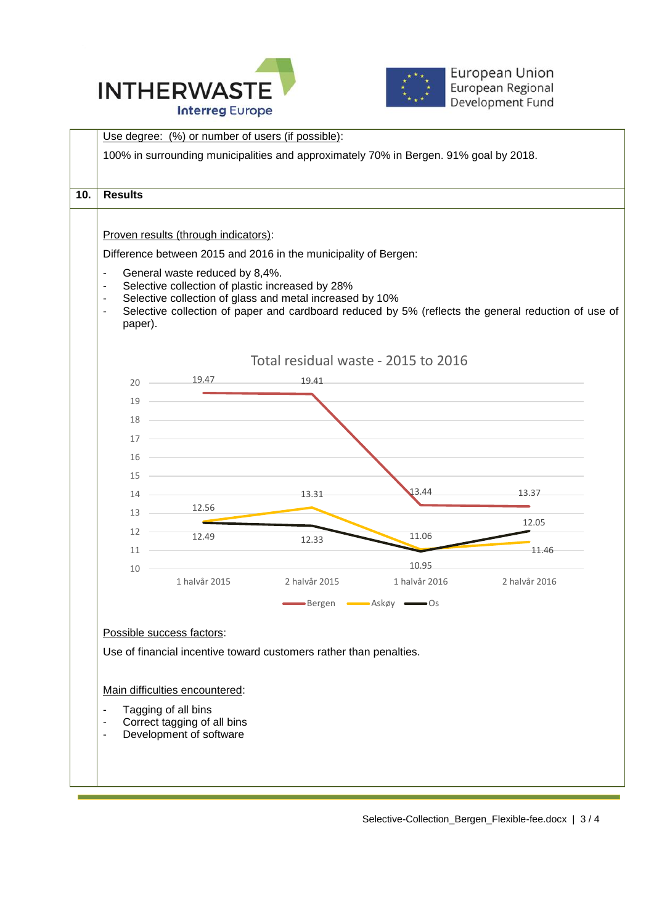





Selective-Collection\_Bergen\_Flexible-fee.docx | 3 / 4